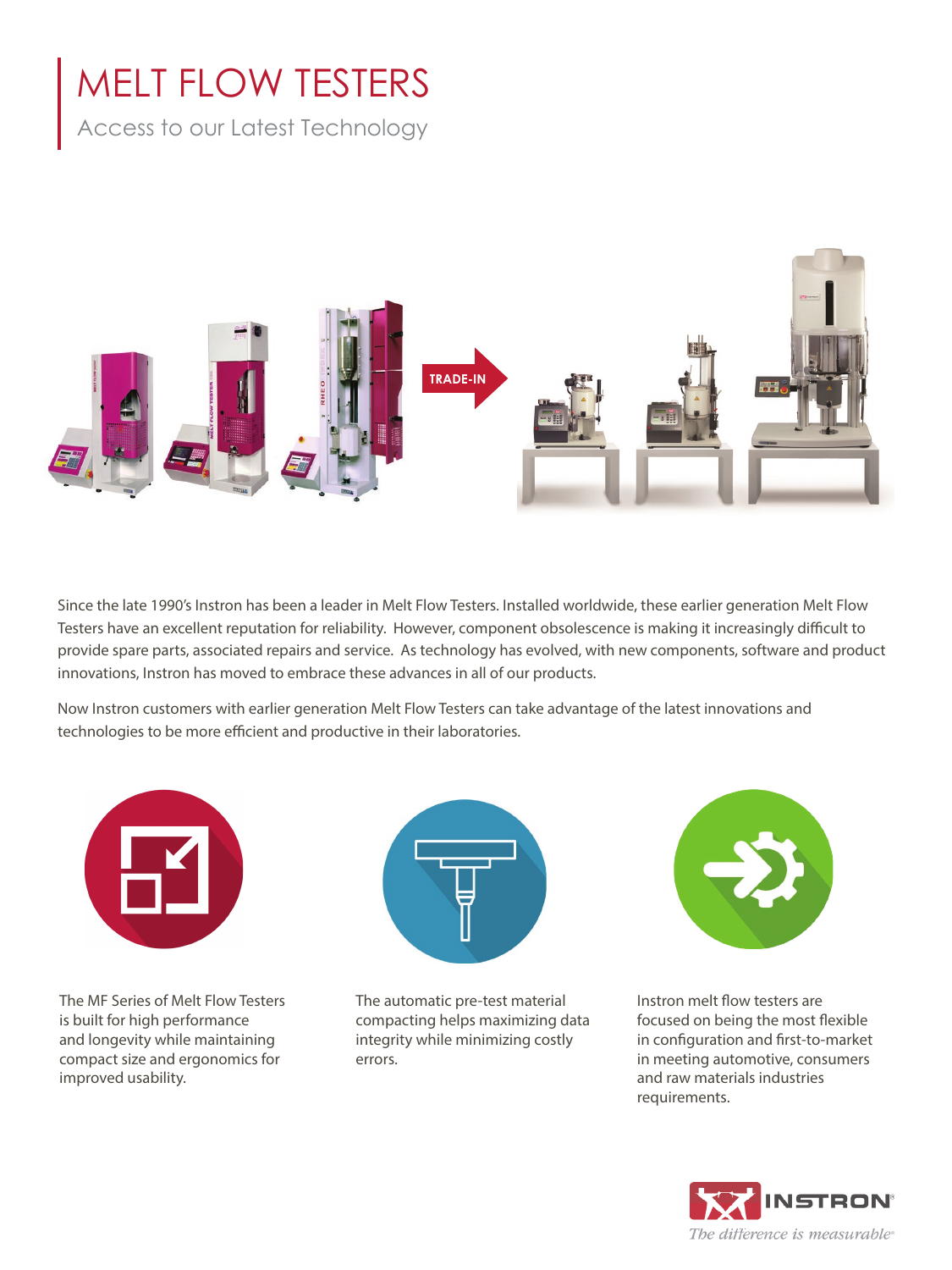# MELT FLOW TESTERS

Access to our Latest Technology



Since the late 1990's Instron has been a leader in Melt Flow Testers. Installed worldwide, these earlier generation Melt Flow Testers have an excellent reputation for reliability. However, component obsolescence is making it increasingly difficult to provide spare parts, associated repairs and service. As technology has evolved, with new components, software and product innovations, Instron has moved to embrace these advances in all of our products.

Now Instron customers with earlier generation Melt Flow Testers can take advantage of the latest innovations and technologies to be more efficient and productive in their laboratories.



The MF Series of Melt Flow Testers is built for high performance and longevity while maintaining compact size and ergonomics for improved usability.



The automatic pre-test material compacting helps maximizing data integrity while minimizing costly errors.



Instron melt flow testers are focused on being the most flexible in configuration and first-to-market in meeting automotive, consumers and raw materials industries requirements.